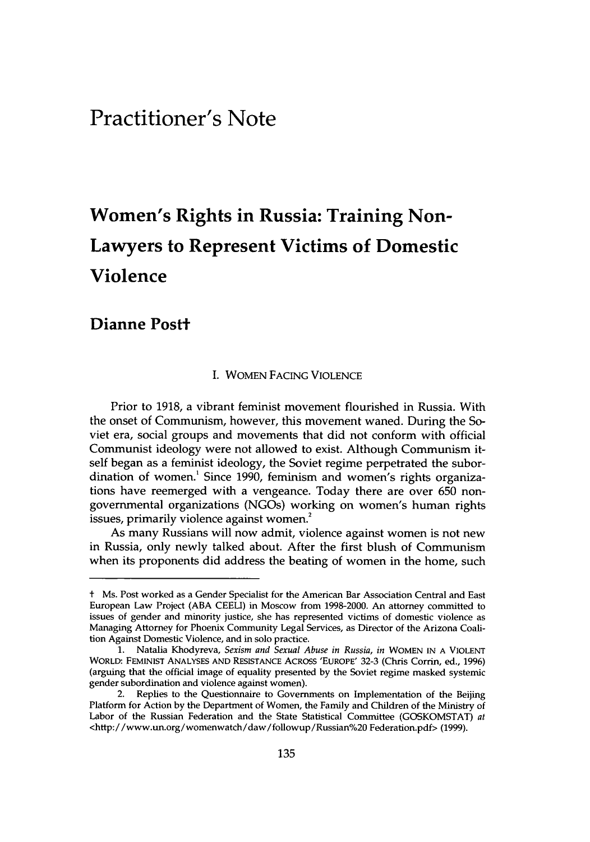## Practitioner's Note

# Women's Rights in Russia: Training Non-Lawyers to Represent Victims of Domestic Violence

### Dianne Postt

#### **I.** WOMEN **FACING VIOLENCE**

Prior to **1918,** a vibrant feminist movement flourished in Russia. With the onset of Communism, however, this movement waned. During the Soviet era, social groups and movements that did not conform with official Communist ideology were not allowed to exist. Although Communism itself began as a feminist ideology, the Soviet regime perpetrated the subordination of women.' Since **1990,** feminism and women's rights organizations have reemerged with a vengeance. Today there are over **650** nongovernmental organizations (NGOs) working on women's human rights issues, primarily violence against women.<sup>2</sup>

As many Russians will now admit, violence against women is not new in Russia, only newly talked about. After the first blush of Communism when its proponents did address the beating of women in the home, such

t Ms. Post worked as a Gender Specialist for the American Bar Association Central and East European Law Project **(ABA CEELI)** in Moscow from **1998-2000.** An attorney committed to issues of gender and minority justice, she has represented victims of domestic violence as Managing Attorney for Phoenix Community Legal Services, as Director of the Arizona Coalition Against Domestic Violence, and in solo practice.

**<sup>1.</sup>** Natalia Khodyreva, *Sexism and Sexual Abuse in Russia, in* WOMEN **IN A** VIOLENT WORLD: FEMINIST **ANALYSES AND RESISTANCE ACROSS 'EUROPE' 32-3** (Chris Corrin, ed., **1996)** (arguing that the official image of equality presented **by** the Soviet regime masked systemic gender subordination and violence against women).

<sup>2.</sup> Replies to the Questionnaire to Governments on Implementation of the Beijing Platform for Action **by** the Department of Women, the Family and Children of the Ministry of Labor of the Russian Federation and the State Statistical Committee **(GOSKOMSTAT)** *at* <http://www.un.org/womenwatch/daw/followup/Russian/ 20 Federation.pdf> **(1999).**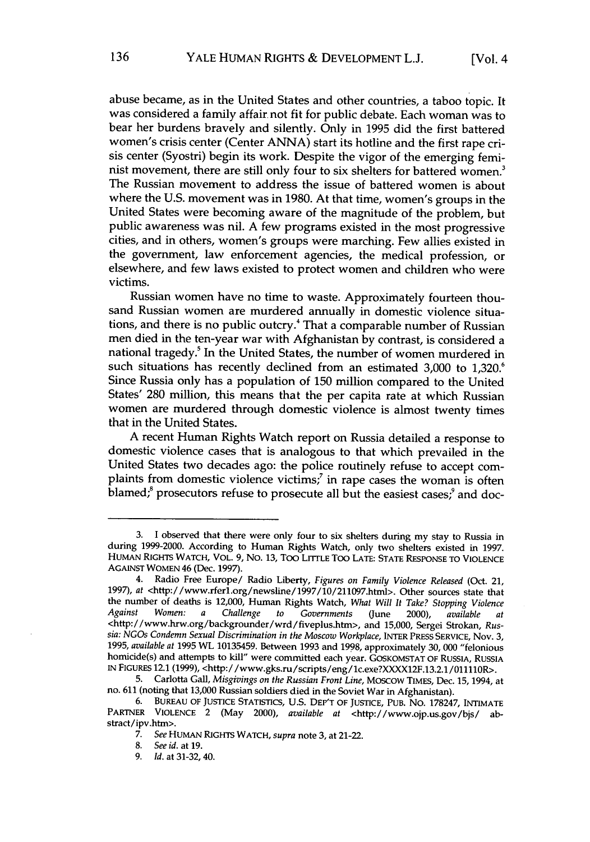abuse became, as in the United States and other countries, a taboo topic. It was considered a family affair not fit for public debate. Each woman was to bear her burdens bravely and silently. Only in 1995 did the first battered women's crisis center (Center ANNA) start its hotline and the first rape crisis center (Syostri) begin its work. Despite the vigor of the emerging feminist movement, there are still only four to six shelters for battered women.<sup>3</sup> The Russian movement to address the issue of battered women is about where the U.S. movement was in 1980. At that time, women's groups in the United States were becoming aware of the magnitude of the problem, but public awareness was nil. A few programs existed in the most progressive cities, and in others, women's groups were marching. Few allies existed in the government, law enforcement agencies, the medical profession, or elsewhere, and few laws existed to protect women and children who were victims.

Russian women have no time to waste. Approximately fourteen thousand Russian women are murdered annually in domestic violence situations, and there is no public outcry.4 That a comparable number of Russian men died in the ten-year war with Afghanistan by contrast, is considered a national tragedy.<sup>5</sup> In the United States, the number of women murdered in such situations has recently declined from an estimated 3,000 to 1,320.6 Since Russia only has a population of 150 million compared to the United States' 280 million, this means that the per capita rate at which Russian women are murdered through domestic violence is almost twenty times that in the United States.

A recent Human Rights Watch report on Russia detailed a response to domestic violence cases that is analogous to that which prevailed in the United States two decades ago: the police routinely refuse to accept complaints from domestic violence victims;<sup>7</sup> in rape cases the woman is often blamed;<sup>8</sup> prosecutors refuse to prosecute all but the easiest cases;<sup>9</sup> and doc-

<sup>3.</sup> I observed that there were only four to six shelters during my stay to Russia in during **1999-2000.** According to Human Rights Watch, only two shelters existed in **1997. HUMAN** RIGHTS WATCH, VOL. **9,** No. **13,** Too LITTLE Too **LATE: STATE RESPONSE** TO **VIOLENCE** AGAINST WOMEN 46 (Dec. **1997).**

<sup>4.</sup> Radio Free Europe/ Radio Liberty, *Figures on Family Violence Released* (Oct. 21, **1997),** at <http://www.rferl.org/newsline/1997/10/211097.html>. Other sources state that the number of deaths is 12,000, Human Rights Watch, *What Will It Take? Stopping Violence Against Women: a Challenge to Governments (June* 2000), *available at* <http://www.hrw.org/backgrounder/wrd/fiveplus.htm>, and **15,000,** Sergei Strokan, *Russia: NGOs Condemn Sexual Discrimination in the Moscow Workplace,* INTER PRESS SERVICE, Nov. **3, 1995,** *available at* **1995** WL **10135459.** Between **1993** and **1998,** approximately **30, 000** "felonious homicide(s) and attempts to kill" were committed each year. GOSKOMSTAT OF RUSSIA, **RUSSIA** IN **FIGURES** 12.1 **(1999),** <http:/ /www.gks.ru/scripts/eng/1c.exe?XXXX12F.13.2.1/011110R>.

**<sup>5.</sup>** Carlotta Gall, *Misgivings on the Russian Front Line,* Moscow TIMES, Dec. 15, 1994, at no. **611** (noting that **13,000** Russian soldiers died in the Soviet War in Afghanistan).

**<sup>6.</sup>** BUREAU OF **JUSTICE** STATISTICS, **U.S.** DEP'T OF JUSTICE, **PUB.** No. **178247, INTIMATE** PARTNER **VIOLENCE** 2 (May 2000), *available at* <http://www.ojp.us.gov/bjs/ abstract/ipv.htm>.

*<sup>7.</sup> See* HUMAN RIGHTS WATCH, *supra* note **3,** at 21-22.

**<sup>8.</sup>** *See id.* at **19.**

**<sup>9.</sup>** *Id.* at **31-32,** 40.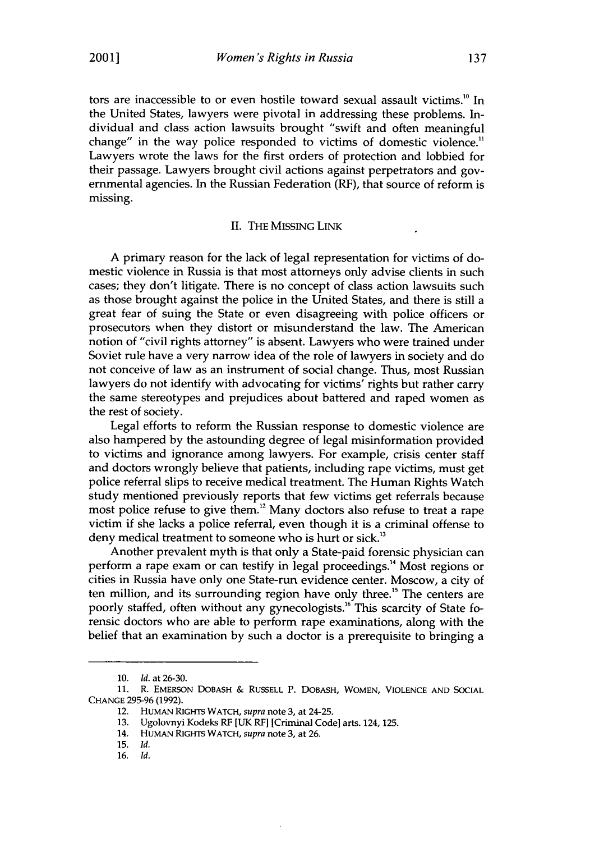tors are inaccessible to or even hostile toward sexual assault victims.<sup>10</sup> In the United States, lawyers were pivotal in addressing these problems. Individual and class action lawsuits brought "swift and often meaningful change" in the way police responded to victims of domestic violence." Lawyers wrote the laws for the first orders of protection and lobbied for their passage. Lawyers brought civil actions against perpetrators and governmental agencies. In the Russian Federation (RF), that source of reform is missing.

#### II. THE MISSING LINK

A primary reason for the lack of legal representation for victims of domestic violence in Russia is that most attorneys only advise clients in such cases; they don't litigate. There is no concept of class action lawsuits such as those brought against the police in the United States, and there is still a great fear of suing the State or even disagreeing with police officers or prosecutors when they distort or misunderstand the law. The American notion of "civil rights attorney" is absent. Lawyers who were trained under Soviet rule have a very narrow idea of the role of lawyers in society and do not conceive of law as an instrument of social change. Thus, most Russian lawyers do not identify with advocating for victims' rights but rather carry the same stereotypes and prejudices about battered and raped women as the rest of society.

Legal efforts to reform the Russian response to domestic violence are also hampered by the astounding degree of legal misinformation provided to victims and ignorance among lawyers. For example, crisis center staff and doctors wrongly believe that patients, including rape victims, must get police referral slips to receive medical treatment. The Human Rights Watch study mentioned previously reports that few victims get referrals because most police refuse to give them.<sup>12</sup> Many doctors also refuse to treat a rape victim if she lacks a police referral, even though it is a criminal offense to deny medical treatment to someone who is hurt or sick.<sup>13</sup>

Another prevalent myth is that only a State-paid forensic physician can perform a rape exam or can testify in legal proceedings.'4 Most regions or cities in Russia have only one State-run evidence center. Moscow, a city of ten million, and its surrounding region have only three.<sup>15</sup> The centers are poorly staffed, often without any gynecologists.<sup>16</sup> This scarcity of State forensic doctors who are able to perform rape examinations, along with the belief that an examination by such a doctor is a prerequisite to bringing a

<sup>10.</sup> *Id.* at 26-30.

**<sup>11.</sup>** R. **EMERSON** DOBASH & **RUSSELL** P. **DOBASH,** WOMEN, **VIOLENCE** AND SOCIAL CHANGE 295-96 (1992).

<sup>12.</sup> HUMAN RIGHTS WATCH, *supra* note 3, at 24-25.

<sup>13.</sup> Ugolovnyi Kodeks RF **[UK RF]** [Criminal Code] arts. 124, 125.

<sup>14.</sup> HUMAN RIGHTS WATCH, *supra* note 3, at 26.

<sup>15.</sup> *Id.*

<sup>16.</sup> *Id.*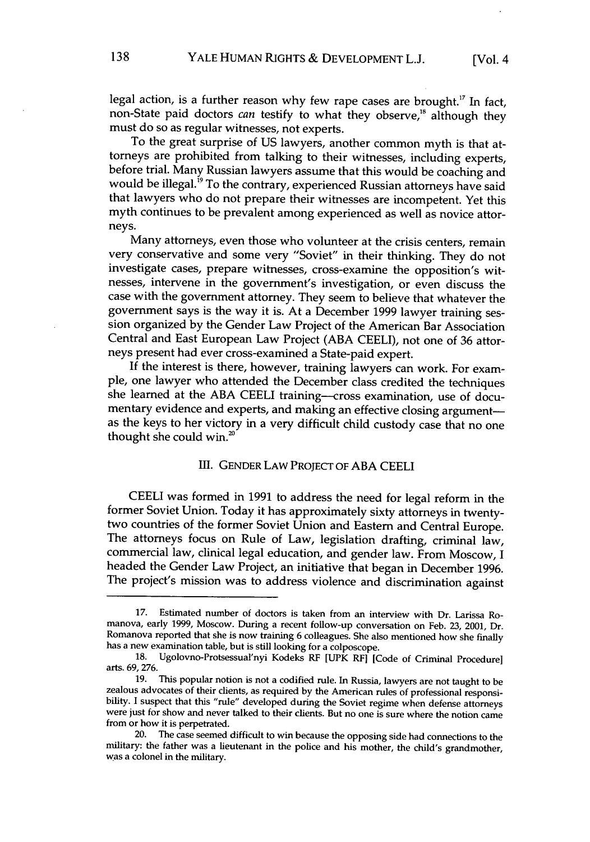legal action, is a further reason why few rape cases are brought.<sup>17</sup> In fact, non-State paid doctors *can* testify to what they observe,<sup>18</sup> although they must do so as regular witnesses, not experts.

To the great surprise of US lawyers, another common myth is that attorneys are prohibited from talking to their witnesses, including experts, before trial. Many Russian lawyers assume that this would be coaching and would be illegal.<sup>19</sup> To the contrary, experienced Russian attorneys have said that lawyers who do not prepare their witnesses are incompetent. Yet this myth continues to be prevalent among experienced as well as novice attorneys.

Many attorneys, even those who volunteer at the crisis centers, remain very conservative and some very "Soviet" in their thinking. They do not investigate cases, prepare witnesses, cross-examine the opposition's witnesses, intervene in the government's investigation, or even discuss the case with the government attorney. They seem to believe that whatever the government says is the way it is. At a December 1999 lawyer training session organized by the Gender Law Project of the American Bar Association Central and East European Law Project (ABA CEELI), not one of 36 attorneys present had ever cross-examined a State-paid expert.

If the interest is there, however, training lawyers can work. For example, one lawyer who attended the December class credited the techniques she learned at the ABA CEELI training--cross examination, use of documentary evidence and experts, and making an effective closing argumentas the keys to her victory in a very difficult child custody case that no one thought she could win.<sup>20</sup>

#### **Ill.** GENDER LAW PROJECT OF ABA CEELI

CEELI was formed in 1991 to address the need for legal reform in the former Soviet Union. Today it has approximately sixty attorneys in twentytwo countries of the former Soviet Union and Eastern and Central Europe. The attorneys focus on Rule of Law, legislation drafting, criminal law, commercial law, clinical legal education, and gender law. From Moscow, I headed the Gender Law Project, an initiative that began in December 1996. The project's mission was to address violence and discrimination against

**<sup>17.</sup>** Estimated number of doctors is taken from an interview with Dr. Larissa Romanova, early 1999, Moscow. During a recent follow-up conversation on Feb. 23, 2001, Dr. Romanova reported that she is now training 6 colleagues. She also mentioned how she finally has a new examination table, but is still looking for a colposcope.

<sup>18.</sup> Ugolovno-Protsessual'nyi Kodeks RF [UPK **RF]** [Code of Criminal Procedure] arts. 69, 276.

**<sup>19.</sup>** This popular notion is not a codified rule. In Russia, lawyers are not taught to be zealous advocates of their clients, as required by the American rules of professional responsibility. I suspect that this "rule" developed during the Soviet regime when defense attorneys were just for show and never talked to their clients. But no one is sure where the notion came from or how it is perpetrated.

The case seemed difficult to win because the opposing side had connections to the military: the father was a lieutenant in the police and his mother, the child's grandmother, was a colonel in the military.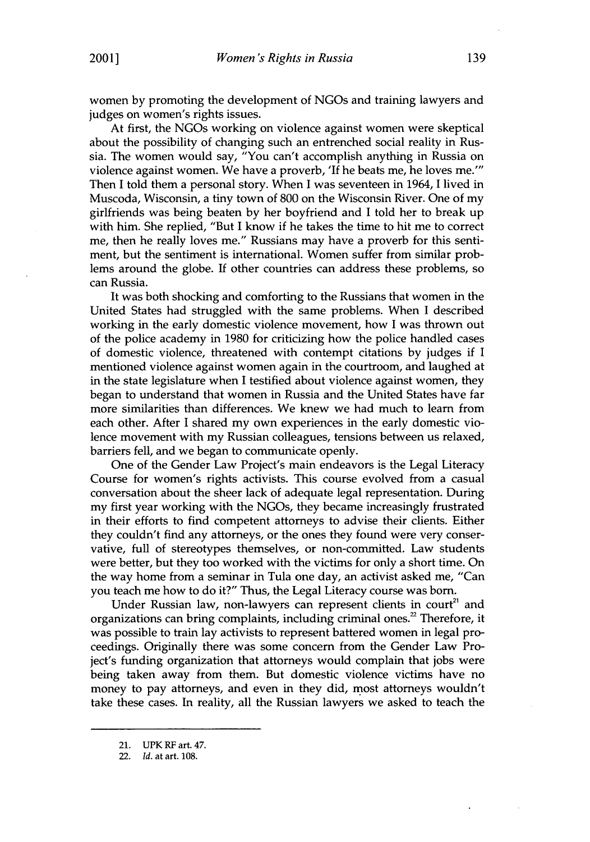women by promoting the development of NGOs and training lawyers and judges on women's rights issues.

At first, the NGOs working on violence against women were skeptical about the possibility of changing such an entrenched social reality in Russia. The women would say, "You can't accomplish anything in Russia on violence against women. We have a proverb, 'If he beats me, he loves **me."'** Then I told them a personal story. When I was seventeen in 1964, I lived in Muscoda, Wisconsin, a tiny town of 800 on the Wisconsin River. One of my girlfriends was being beaten by her boyfriend and I told her to break up with him. She replied, "But I know if he takes the time to hit me to correct me, then he really loves me." Russians may have a proverb for this sentiment, but the sentiment is international. Women suffer from similar problems around the globe. If other countries can address these problems, so can Russia.

It was both shocking and comforting to the Russians that women in the United States had struggled with the same problems. When I described working in the early domestic violence movement, how I was thrown out of the police academy in 1980 for criticizing how the police handled cases of domestic violence, threatened with contempt citations by judges if I mentioned violence against women again in the courtroom, and laughed at in the state legislature when I testified about violence against women, they began to understand that women in Russia and the United States have far more similarities than differences. We knew we had much to learn from each other. After I shared my own experiences in the early domestic violence movement with my Russian colleagues, tensions between us relaxed, barriers fell, and we began to communicate openly.

One of the Gender Law Project's main endeavors is the Legal Literacy Course for women's rights activists. This course evolved from a casual conversation about the sheer lack of adequate legal representation. During my first year working with the NGOs, they became increasingly frustrated in their efforts to find competent attorneys to advise their clients. Either they couldn't find any attorneys, or the ones they found were very conservative, full of stereotypes themselves, or non-committed. Law students were better, but they too worked with the victims for only a short time. On the way home from a seminar in Tula one day, an activist asked me, "Can you teach me how to do it?" Thus, the Legal Literacy course was born.

Under Russian law, non-lawyers can represent clients in court<sup>21</sup> and organizations can bring complaints, including criminal ones.<sup>22</sup> Therefore, it was possible to train lay activists to represent battered women in legal proceedings. Originally there was some concern from the Gender Law Project's funding organization that attorneys would complain that jobs were being taken away from them. But domestic violence victims have no money to pay attorneys, and even in they did, most attorneys wouldn't take these cases. In reality, all the Russian lawyers we asked to teach the

<sup>21.</sup> UPK RF art. 47.

<sup>22.</sup> *Id.* at art. 108.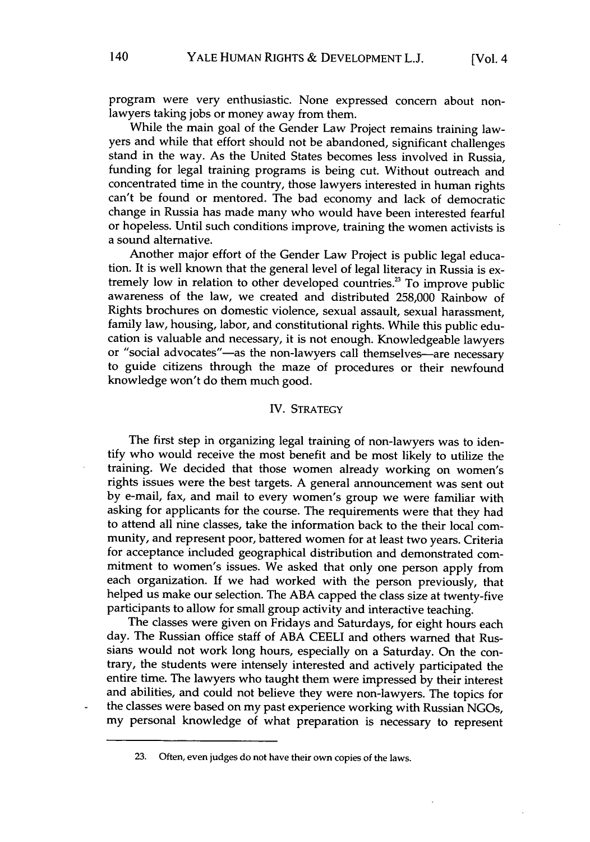program were very enthusiastic. None expressed concern about nonlawyers taking jobs or money away from them.

While the main goal of the Gender Law Project remains training lawyers and while that effort should not be abandoned, significant challenges stand in the way. As the United States becomes less involved in Russia, funding for legal training programs is being cut. Without outreach and concentrated time in the country, those lawyers interested in human rights can't be found or mentored. The bad economy and lack of democratic change in Russia has made many who would have been interested fearful or hopeless. Until such conditions improve, training the women activists is a sound alternative.

Another major effort of the Gender Law Project is public legal education. It is well known that the general level of legal literacy in Russia is extremely low in relation to other developed countries.<sup>23</sup> To improve public awareness of the law, we created and distributed 258,000 Rainbow of Rights brochures on domestic violence, sexual assault, sexual harassment, family law, housing, labor, and constitutional rights. While this public education is valuable and necessary, it is not enough. Knowledgeable lawyers or "social advocates"-as the non-lawyers call themselves-are necessary to guide citizens through the maze of procedures or their newfound knowledge won't do them much good.

#### IV. STRATEGY

The first step in organizing legal training of non-lawyers was to identify who would receive the most benefit and be most likely to utilize the training. We decided that those women already working on women's rights issues were the best targets. **A** general announcement was sent out **by** e-mail, fax, and mail to every women's group we were familiar with asking for applicants for the course. The requirements were that they had to attend all nine classes, take the information back to the their local community, and represent poor, battered women for at least two years. Criteria for acceptance included geographical distribution and demonstrated commitment to women's issues. We asked that only one person apply from each organization. If we had worked with the person previously, that helped us make our selection. The **ABA** capped the class size at twenty-five participants to allow for small group activity and interactive teaching.

The classes were given on Fridays and Saturdays, for eight hours each day. The Russian office staff of **ABA CEELI** and others warned that Russians would not work long hours, especially on a Saturday. On the contrary, the students were intensely interested and actively participated the entire time. The lawyers who taught them were impressed **by** their interest and abilities, and could not believe they were non-lawyers. The topics for the classes were based on my past experience working with Russian NGOs, my personal knowledge of what preparation is necessary to represent

**<sup>23.</sup>** Often, even judges do not have their own copies of the laws.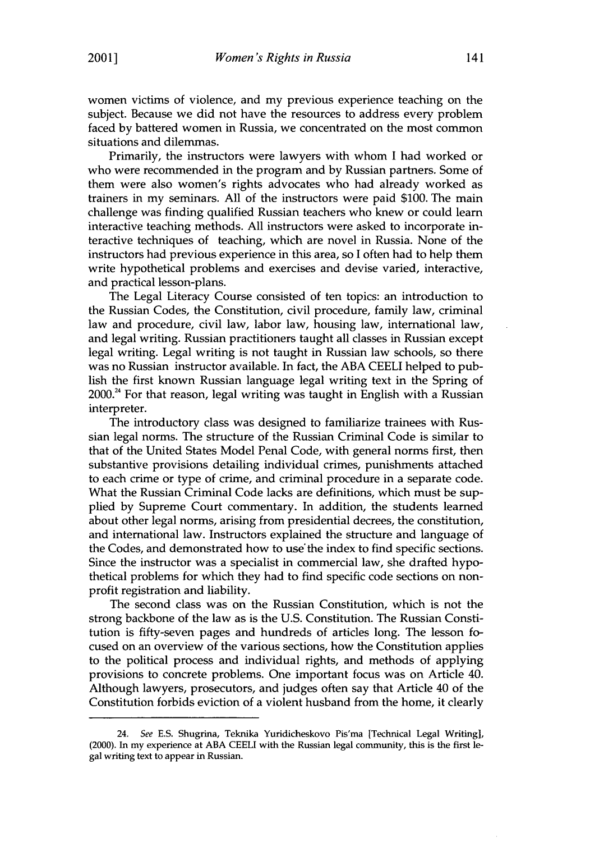women victims of violence, and my previous experience teaching on the subject. Because we did not have the resources to address every problem faced by battered women in Russia, we concentrated on the most common situations and dilemmas.

Primarily, the instructors were lawyers with whom I had worked or who were recommended in the program and by Russian partners. Some of them were also women's rights advocates who had already worked as trainers in my seminars. All of the instructors were paid \$100. The main challenge was finding qualified Russian teachers who knew or could learn interactive teaching methods. All instructors were asked to incorporate interactive techniques of teaching, which are novel in Russia. None of the instructors had previous experience in this area, so I often had to help them write hypothetical problems and exercises and devise varied, interactive, and practical lesson-plans.

The Legal Literacy Course consisted of ten topics: an introduction to the Russian Codes, the Constitution, civil procedure, family law, criminal law and procedure, civil law, labor law, housing law, international law, and legal writing. Russian practitioners taught all classes in Russian except legal writing. Legal writing is not taught in Russian law schools, so there was no Russian instructor available. In fact, the ABA CEELI helped to publish the first known Russian language legal writing text in the Spring of  $2000.<sup>24</sup>$  For that reason, legal writing was taught in English with a Russian interpreter.

The introductory class was designed to familiarize trainees with Russian legal norms. The structure of the Russian Criminal Code is similar to that of the United States Model Penal Code, with general norms first, then substantive provisions detailing individual crimes, punishments attached to each crime or type of crime, and criminal procedure in a separate code. What the Russian Criminal Code lacks are definitions, which must be supplied by Supreme Court commentary. In addition, the students learned about other legal norms, arising from presidential decrees, the constitution, and international law. Instructors explained the structure and language of the Codes, and demonstrated how to use the index to find specific sections. Since the instructor was a specialist in commercial law, she drafted hypothetical problems for which they had to find specific code sections on nonprofit registration and liability.

The second class was on the Russian Constitution, which is not the strong backbone of the law as is the U.S. Constitution. The Russian Constitution is fifty-seven pages and hundreds of articles long. The lesson focused on an overview of the various sections, how the Constitution applies to the political process and individual rights, and methods of applying provisions to concrete problems. One important focus was on Article 40. Although lawyers, prosecutors, and judges often say that Article 40 of the Constitution forbids eviction of a violent husband from the home, it clearly

<sup>24.</sup> See **E.S.** Shugrina, Teknika Yuridicheskovo Pis'ma [Technical Legal **Writing],** (2000). In my experience at **ABA** CEELI with the Russian legal community, **this** is the first legal writing text to appear in Russian.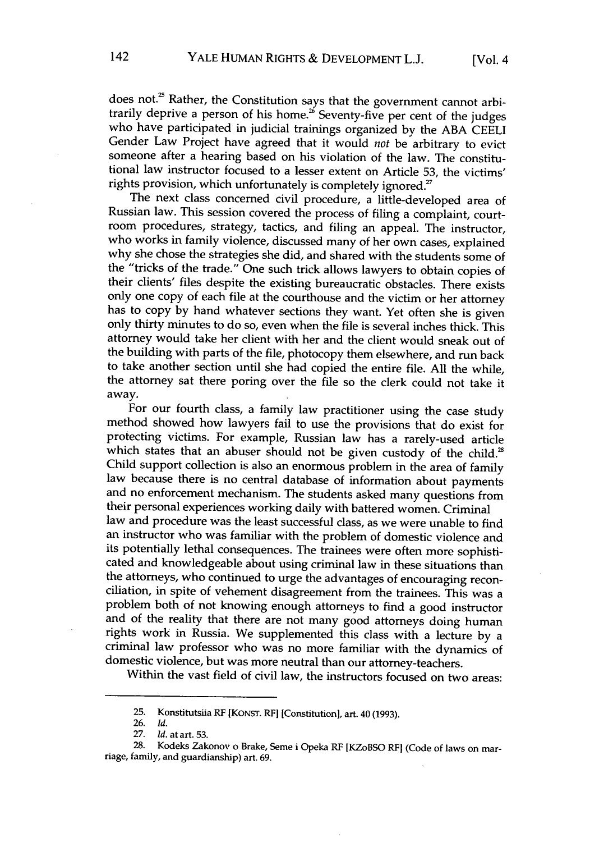does not.<sup>25</sup> Rather, the Constitution says that the government cannot arbitrarily deprive a person of his home.<sup>26</sup> Seventy-five per cent of the judges who have participated in judicial trainings organized by the ABA CEELI Gender Law Project have agreed that it would not be arbitrary to evict someone after a hearing based on his violation of the law. The constitutional law instructor focused to a lesser extent on Article 53, the victims' rights provision, which unfortunately is completely ignored.<sup>27</sup>

The next class concerned civil procedure, a little-developed area of Russian law. This session covered the process of filing a complaint, courtroom procedures, strategy, tactics, and filing an appeal. The instructor, who works in family violence, discussed many of her own cases, explained why she chose the strategies she did, and shared with the students some of the "tricks of the trade." One such trick allows lawyers to obtain copies of their clients' files despite the existing bureaucratic obstacles. There exists only one copy of each file at the courthouse and the victim or her attorney has to copy by hand whatever sections they want. Yet often she is given only thirty minutes to do so, even when the file is several inches thick. This attorney would take her client with her and the client would sneak out of the building with parts of the file, photocopy them elsewhere, and run back to take another section until she had copied the entire file. All the while, the attorney sat there poring over the file so the clerk could not take it away.

For our fourth class, a family law practitioner using the case study method showed how lawyers fail to use the provisions that do exist for protecting victims. For example, Russian law has a rarely-used article which states that an abuser should not be given custody of the child.<sup>28</sup> Child support collection is also an enormous problem in the area of family law because there is no central database of information about payments and no enforcement mechanism. The students asked many questions from their personal experiences working daily with battered women. Criminal law and procedure was the least successful class, as we were unable to find an instructor who was familiar with the problem of domestic violence and its potentially lethal consequences. The trainees were often more sophisti-<br>cated and knowledgeable about using criminal law in these situations than the attorneys, who continued to urge the advantages of encouraging reconciliation, in spite of vehement disagreement from the trainees. This was a problem both of not knowing enough attorneys to find a good instructor and of the reality that there are not many good attorneys doing human rights work in Russia. We supplemented this class with a lecture by a criminal law professor who was no more familiar with the dynamics of domestic violence, but was more neutral than our attorney-teachers.

Within the vast field of civil law, the instructors focused on two areas:

<sup>25.</sup> Konstitutsiia RF **[KoNsT.** RF] [Constitution], art. 40 (1993).

**<sup>26.</sup>** *Id.*

<sup>27.</sup> *Id.* at art. **53.**

<sup>28.</sup> Kodeks Zakonov o Brake, Seme i Opeka **RF** [KZoBSO RF] (Code of laws on mar- riage, family, and guardianship) art. 69.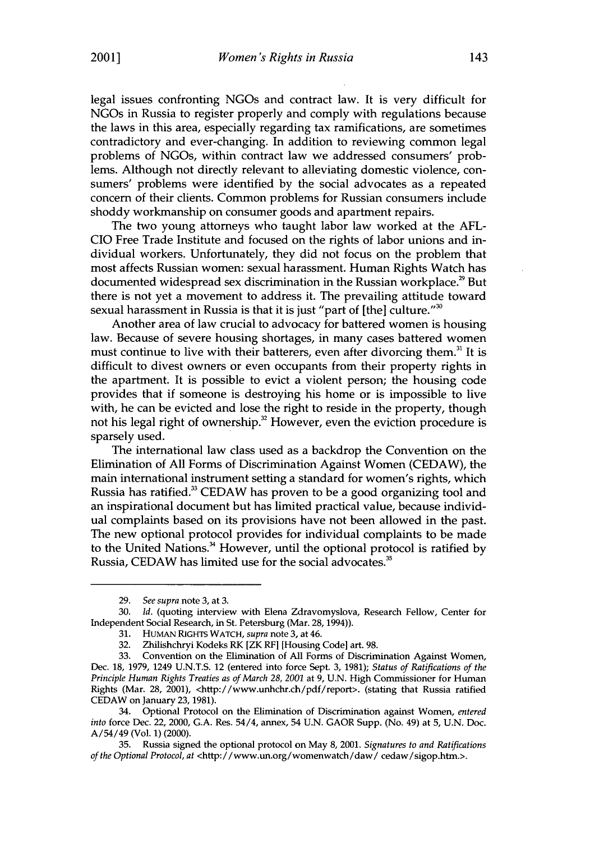**2001]**

legal issues confronting NGOs and contract law. It is very difficult for NGOs in Russia to register properly and comply with regulations because the laws in this area, especially regarding tax ramifications, are sometimes contradictory and ever-changing. In addition to reviewing common legal problems of NGOs, within contract law we addressed consumers' problems. Although not directly relevant to alleviating domestic violence, consumers' problems were identified by the social advocates as a repeated concern of their clients. Common problems for Russian consumers include shoddy workmanship on consumer goods and apartment repairs.

The two young attorneys who taught labor law worked at the AFL-CIO Free Trade Institute and focused on the rights of labor unions and individual workers. Unfortunately, they did not focus on the problem that most affects Russian women: sexual harassment. Human Rights Watch has documented widespread sex discrimination in the Russian workplace.<sup>29</sup> But there is not yet a movement to address it. The prevailing attitude toward sexual harassment in Russia is that it is just "part of [the] culture."<sup>30</sup>

Another area of law crucial to advocacy for battered women is housing law. Because of severe housing shortages, in many cases battered women must continue to live with their batterers, even after divorcing them.<sup>31</sup> It is difficult to divest owners or even occupants from their property rights in the apartment. It is possible to evict a violent person; the housing code provides that if someone is destroying his home or is impossible to live with, he can be evicted and lose the right to reside in the property, though not his legal right of ownership.<sup>32</sup> However, even the eviction procedure is sparsely used.

The international law class used as a backdrop the Convention on the Elimination of All Forms of Discrimination Against Women (CEDAW), the main international instrument setting a standard for women's rights, which Russia has ratified.<sup>33</sup> CEDAW has proven to be a good organizing tool and an inspirational document but has limited practical value, because individual complaints based on its provisions have not been allowed in the past. The new optional protocol provides for individual complaints to be made to the United Nations.<sup>34</sup> However, until the optional protocol is ratified by Russia, CEDAW has limited use for the social advocates.<sup>35</sup>

<sup>29.</sup> *See supra* note **3,** at 3.

<sup>30.</sup> *Id.* (quoting interview with Elena Zdravomyslova, Research Fellow, Center for Independent Social Research, in St. Petersburg (Mar. 28, 1994)).

<sup>31.</sup> HUMAN RIGHTS WATCH, *supra* note 3, at 46.

<sup>32.</sup> Zhilishchryi Kodeks RK [ZK RFI [Housing Code] art. 98.

**<sup>33.</sup>** Convention on the Elimination of All Forms of Discrimination Against Women, Dec. 18, 1979, 1249 U.N.T.S. 12 (entered into force Sept. 3, 1981); *Status of Ratifications of the Principle Human Rights Treaties as of March 28, 2001* at 9, U.N. High Commissioner for Human Rights (Mar. 28, 2001), <http://www.unhchr.ch/pdf/report>. (stating that Russia ratified CEDAW on January **23,** 1981).

<sup>34.</sup> Optional Protocol on the Elimination of Discrimination against Women, *entered into* force Dec. 22, 2000, G.A. Res. 54/4, annex, 54 **U.N.** GAOR Supp. (No. 49) at 5, U.N. Doc. A/54/49 (Vol. 1) (2000).

<sup>35.</sup> Russia signed the optional protocol on May 8, 2001. *Signatures to and Ratifications of the Optional Protocol, at* <http://www.un.org/womenwatch/daw/ cedaw/sigop.htm.>.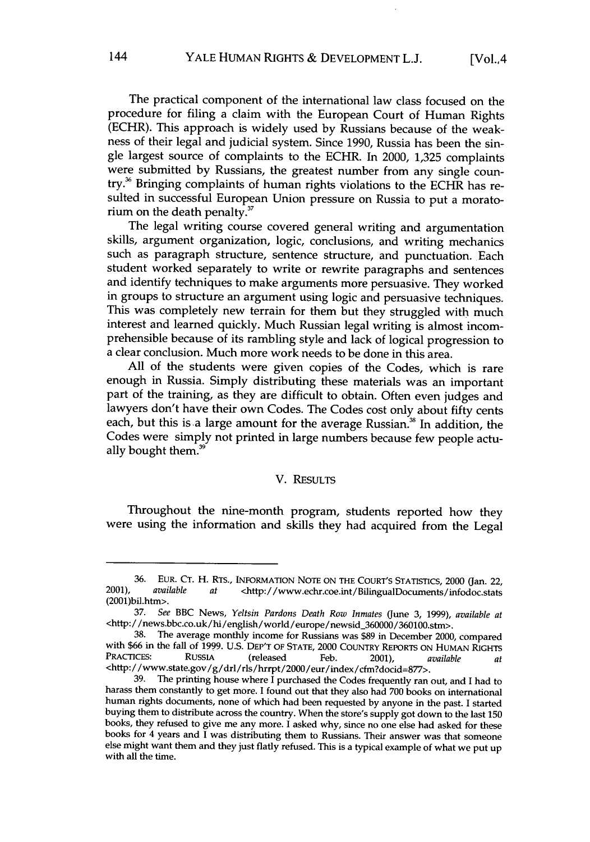The practical component of the international law class focused on the procedure for filing a claim with the European Court of Human Rights (ECHR). This approach is widely used by Russians because of the weakness of their legal and judicial system. Since 1990, Russia has been the single largest source of complaints to the ECHR. In 2000, 1,325 complaints were submitted by Russians, the greatest number from any single country.? Bringing complaints of human rights violations to the ECHR has resulted in successful European Union pressure on Russia to put a moratorium on the death penalty. $37$ 

The legal writing course covered general writing and argumentation skills, argument organization, logic, conclusions, and writing mechanics such as paragraph structure, sentence structure, and punctuation. Each student worked separately to write or rewrite paragraphs and sentences and identify techniques to make arguments more persuasive. They worked in groups to structure an argument using logic and persuasive techniques. This was completely new terrain for them but they struggled with much interest and learned quickly. Much Russian legal writing is almost incomprehensible because of its rambling style and lack of logical progression to a clear conclusion. Much more work needs to be done in this area.

All of the students were given copies of the Codes, which is rare enough in Russia. Simply distributing these materials was an important part of the training, as they are difficult to obtain. Often even judges and lawyers don't have their own Codes. The Codes cost only about fifty cents each, but this is a large amount for the average Russian.<sup>38</sup> In addition, the Codes were simply not printed in large numbers because few people actually bought them.<sup>39</sup>

#### V. RESULTS

Throughout the nine-month program, students reported how they were using the information and skills they had acquired from the Legal

<sup>36.</sup> EUR. CT. H. RTS., INFORMATION NOTE ON THE COURT'S STATISTIcS, 2000 (Jan. 22, 2001), *available at* <http://www.echr.coe.int/BilingualDocuments/infodoc.stats (2001)bil.htm>.

<sup>37.</sup> *See* BBC News, *Yeltsin Pardons Death Row Inmates* (June 3, 1999), *available at* <http:/ /news.bbc.co.uk/hi/english/world/europe/newsid\_360000/360100.stm>.

<sup>38.</sup> The average monthly income for Russians was \$89 in December 2000, compared with **\$66** in the fall of 1999. **U.S.** DEP'T OF **STATE,** 2000 COUNTRY REPORTS **ON** HUMAN RIGHTS PRACTICES: RUSSIA (released Feb. 2001), *available at* <http:/ /www.state.gov/g/drl/rls/hrrpt/2000/eur/index/cfm?docid=877>.

<sup>39.</sup> The printing house where I purchased the Codes frequently ran out, and I had to harass them constantly to get more. I found out that they also had 700 books on international human rights documents, none of which had been requested by anyone in the past. I started buying them to distribute across the country. When the store's supply got down to the last 150 books, they refused to give me any more. I asked why, since no one else had asked for these books for 4 years and I was distributing them to Russians. Their answer was that someone else might want them and they just flatly refused. This is a typical example of what we put up with all the time.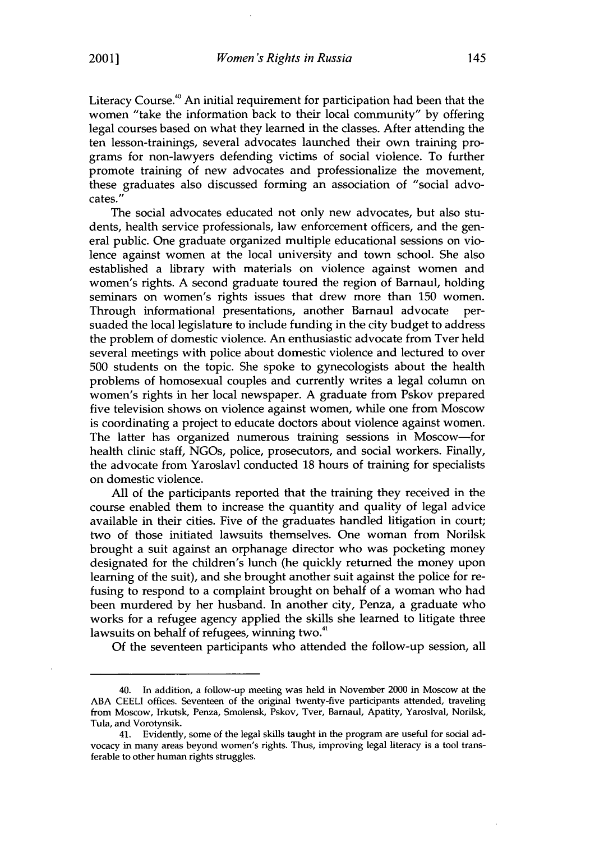Literacy Course." An initial requirement for participation had been that the women "take the information back to their local community" by offering legal courses based on what they learned in the classes. After attending the ten lesson-trainings, several advocates launched their own training programs for non-lawyers defending victims of social violence. To further promote training of new advocates and professionalize the movement, these graduates also discussed forming an association of "social advocates."

The social advocates educated not only new advocates, but also students, health service professionals, law enforcement officers, and the general public. One graduate organized multiple educational sessions on violence against women at the local university and town school. She also established a library with materials on violence against women and women's rights. A second graduate toured the region of Barnaul, holding seminars on women's rights issues that drew more than 150 women. Through informational presentations, another Barnaul advocate persuaded the local legislature to include funding in the city budget to address the problem of domestic violence. An enthusiastic advocate from Tver held several meetings with police about domestic violence and lectured to over 500 students on the topic. She spoke to gynecologists about the health problems of homosexual couples and currently writes a legal column on women's rights in her local newspaper. A graduate from Pskov prepared five television shows on violence against women, while one from Moscow is coordinating a project to educate doctors about violence against women. The latter has organized numerous training sessions in Moscow-for health clinic staff, NGOs, police, prosecutors, and social workers. Finally, the advocate from Yaroslavl conducted 18 hours of training for specialists on domestic violence.

All of the participants reported that the training they received in the course enabled them to increase the quantity and quality of legal advice available in their cities. Five of the graduates handled litigation in court; two of those initiated lawsuits themselves. One woman from Norilsk brought a suit against an orphanage director who was pocketing money designated for the children's lunch (he quickly returned the money upon learning of the suit), and she brought another suit against the police for refusing to respond to a complaint brought on behalf of a woman who had been murdered by her husband. In another city, Penza, a graduate who works for a refugee agency applied the skills she learned to litigate three lawsuits on behalf of refugees, winning two.<sup>41</sup>

Of the seventeen participants who attended the follow-up session, all

<sup>40.</sup> In addition, a follow-up meeting was held in November 2000 in Moscow at the ABA **CEELI** offices. Seventeen of the original twenty-five participants attended, traveling from Moscow, Irkutsk, Penza, Smolensk, Pskov, Tver, Barnaul, Apatity, Yaroslval, Norilsk, Tula, and Vorotynsik.

<sup>41.</sup> Evidently, some of the legal skills taught in the program are useful for social advocacy in many areas beyond women's rights. Thus, improving legal literacy is a tool transferable to other human rights struggles.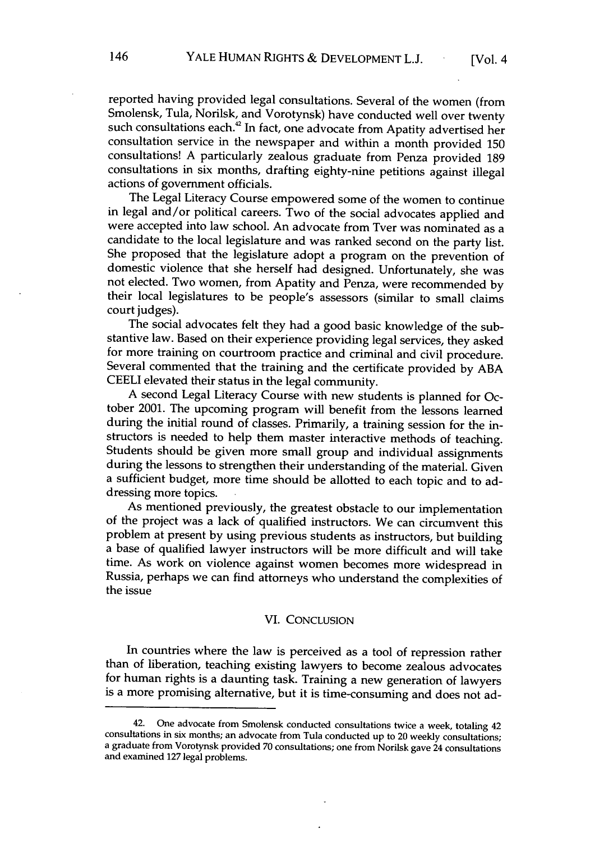reported having provided legal consultations. Several of the women (from Smolensk, Tula, Norilsk, and Vorotynsk) have conducted well over twenty such consultations each.<sup>42</sup> In fact, one advocate from Apatity advertised her consultation service in the newspaper and within a month provided 150 consultations! A particularly zealous graduate from Penza provided 189 consultations in six months, drafting eighty-nine petitions against illegal actions of government officials.

The Legal Literacy Course empowered some of the women to continue in legal and/or political careers. Two of the social advocates applied and were accepted into law school. An advocate from Tver was nominated as a candidate to the local legislature and was ranked second on the party list. She proposed that the legislature adopt a program on the prevention of domestic violence that she herself had designed. Unfortunately, she was not elected. Two women, from Apatity and Penza, were recommended by their local legislatures to be people's assessors (similar to small claims court judges).

The social advocates felt they had a good basic knowledge of the substantive law. Based on their experience providing legal services, they asked for more training on courtroom practice and criminal and civil procedure. Several commented that the training and the certificate provided by ABA CEELI elevated their status in the legal community.

A second Legal Literacy Course with new students is planned for October 2001. The upcoming program will benefit from the lessons learned during the initial round of classes. Primarily, a training session for the instructors is needed to help them master interactive methods of teaching. Students should be given more small group and individual assignments during the lessons to strengthen their understanding of the material. Given a sufficient budget, more time should be allotted to each topic and to addressing more topics.

As mentioned previously, the greatest obstacle to our implementation of the project was a lack of qualified instructors. We can circumvent this problem at present by using previous students as instructors, but building a base of qualified lawyer instructors will be more difficult and will take time. As work on violence against women becomes more widespread in Russia, perhaps we can find attorneys who understand the complexities of the issue

#### VI. CONCLUSION

In countries where the law is perceived as a tool of repression rather than of liberation, teaching existing lawyers to become zealous advocates for human rights is a daunting task. Training a new generation of lawyers is a more promising alternative, but it is time-consuming and does not ad-

<sup>42.</sup> One advocate from Smolensk conducted consultations twice a week, totaling 42 consultations in six months; an advocate from Tula conducted up to 20 weekly consultations; a graduate from Vorotynsk provided **70** consultations; one from Norilsk gave 24 consultations and examined **127** legal problems.